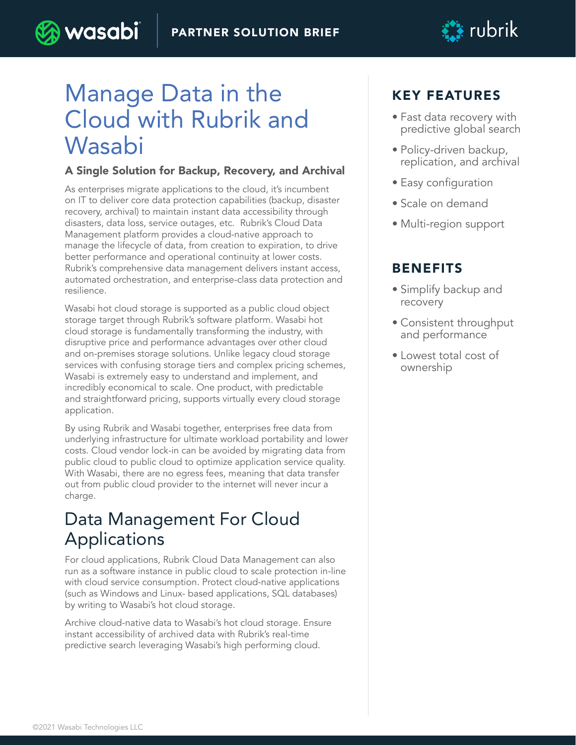

# Manage Data in the Cloud with Rubrik and Wasabi

) wasabi

#### A Single Solution for Backup, Recovery, and Archival

As enterprises migrate applications to the cloud, it's incumbent on IT to deliver core data protection capabilities (backup, disaster recovery, archival) to maintain instant data accessibility through disasters, data loss, service outages, etc. Rubrik's Cloud Data Management platform provides a cloud-native approach to manage the lifecycle of data, from creation to expiration, to drive better performance and operational continuity at lower costs. Rubrik's comprehensive data management delivers instant access, automated orchestration, and enterprise-class data protection and resilience.

Wasabi hot cloud storage is supported as a public cloud object storage target through Rubrik's software platform. Wasabi hot cloud storage is fundamentally transforming the industry, with disruptive price and performance advantages over other cloud and on-premises storage solutions. Unlike legacy cloud storage services with confusing storage tiers and complex pricing schemes, Wasabi is extremely easy to understand and implement, and incredibly economical to scale. One product, with predictable and straightforward pricing, supports virtually every cloud storage application.

By using Rubrik and Wasabi together, enterprises free data from underlying infrastructure for ultimate workload portability and lower costs. Cloud vendor lock-in can be avoided by migrating data from public cloud to public cloud to optimize application service quality. With Wasabi, there are no egress fees, meaning that data transfer out from public cloud provider to the internet will never incur a charge.

## Data Management For Cloud Applications

For cloud applications, Rubrik Cloud Data Management can also run as a software instance in public cloud to scale protection in-line with cloud service consumption. Protect cloud-native applications (such as Windows and Linux- based applications, SQL databases) by writing to Wasabi's hot cloud storage.

Archive cloud-native data to Wasabi's hot cloud storage. Ensure instant accessibility of archived data with Rubrik's real-time predictive search leveraging Wasabi's high performing cloud.

### KEY FEATURES

- Fast data recovery with predictive global search
- Policy-driven backup, replication, and archival
- Easy configuration
- Scale on demand
- Multi-region support

### BENEFITS

- Simplify backup and recovery
- Consistent throughput and performance
- Lowest total cost of ownership